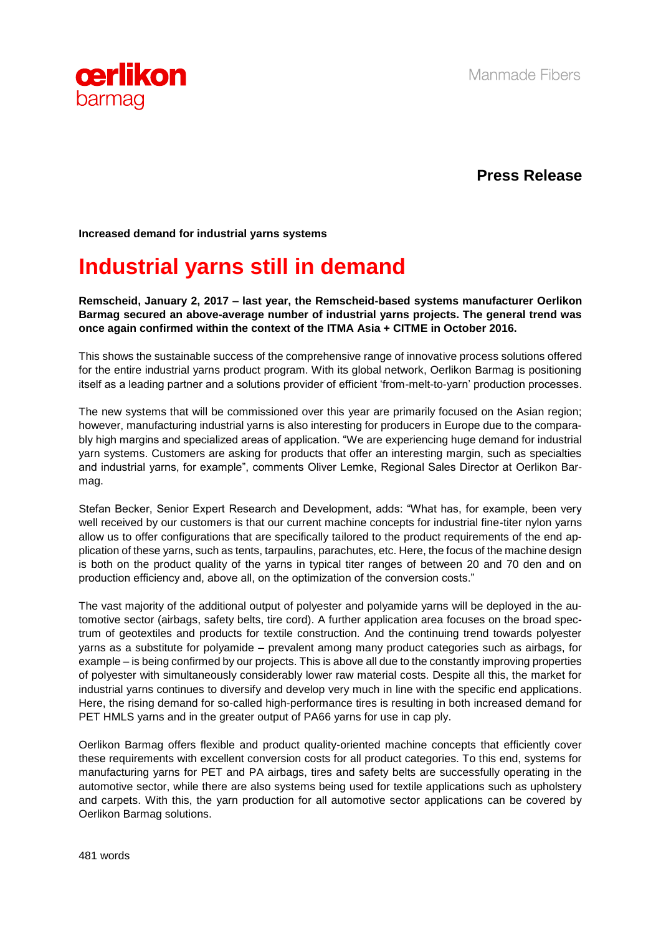

**Press Release**

**Increased demand for industrial yarns systems**

## **Industrial yarns still in demand**

**Remscheid, January 2, 2017 – last year, the Remscheid-based systems manufacturer Oerlikon Barmag secured an above-average number of industrial yarns projects. The general trend was once again confirmed within the context of the ITMA Asia + CITME in October 2016.** 

This shows the sustainable success of the comprehensive range of innovative process solutions offered for the entire industrial yarns product program. With its global network, Oerlikon Barmag is positioning itself as a leading partner and a solutions provider of efficient 'from-melt-to-yarn' production processes.

The new systems that will be commissioned over this year are primarily focused on the Asian region; however, manufacturing industrial yarns is also interesting for producers in Europe due to the comparably high margins and specialized areas of application. "We are experiencing huge demand for industrial yarn systems. Customers are asking for products that offer an interesting margin, such as specialties and industrial yarns, for example", comments Oliver Lemke, Regional Sales Director at Oerlikon Barmag.

Stefan Becker, Senior Expert Research and Development, adds: "What has, for example, been very well received by our customers is that our current machine concepts for industrial fine-titer nylon yarns allow us to offer configurations that are specifically tailored to the product requirements of the end application of these yarns, such as tents, tarpaulins, parachutes, etc. Here, the focus of the machine design is both on the product quality of the yarns in typical titer ranges of between 20 and 70 den and on production efficiency and, above all, on the optimization of the conversion costs."

The vast majority of the additional output of polyester and polyamide yarns will be deployed in the automotive sector (airbags, safety belts, tire cord). A further application area focuses on the broad spectrum of geotextiles and products for textile construction. And the continuing trend towards polyester yarns as a substitute for polyamide – prevalent among many product categories such as airbags, for example – is being confirmed by our projects. This is above all due to the constantly improving properties of polyester with simultaneously considerably lower raw material costs. Despite all this, the market for industrial yarns continues to diversify and develop very much in line with the specific end applications. Here, the rising demand for so-called high-performance tires is resulting in both increased demand for PET HMLS yarns and in the greater output of PA66 yarns for use in cap ply.

Oerlikon Barmag offers flexible and product quality-oriented machine concepts that efficiently cover these requirements with excellent conversion costs for all product categories. To this end, systems for manufacturing yarns for PET and PA airbags, tires and safety belts are successfully operating in the automotive sector, while there are also systems being used for textile applications such as upholstery and carpets. With this, the yarn production for all automotive sector applications can be covered by Oerlikon Barmag solutions.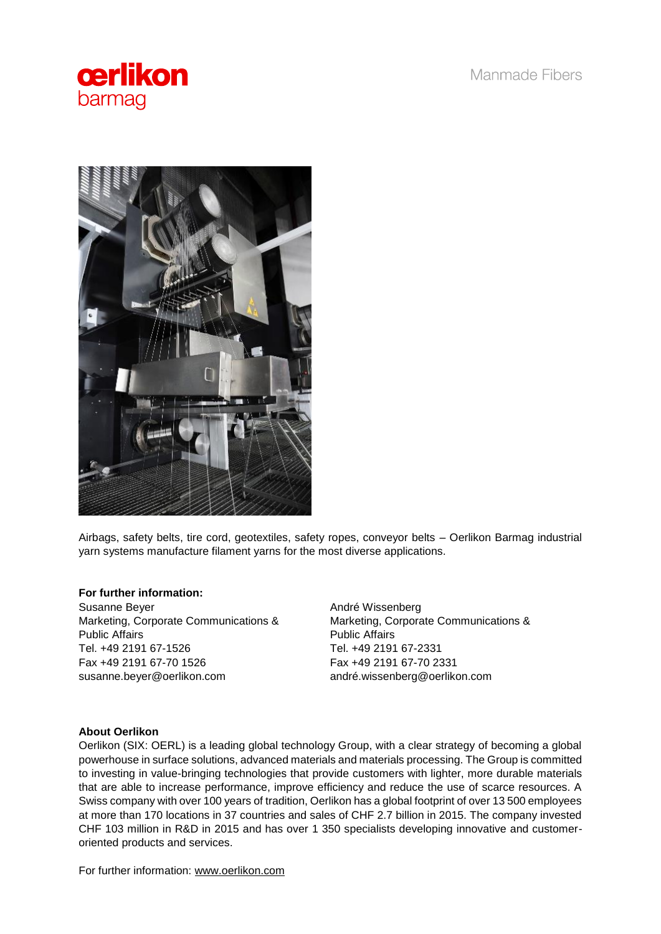Manmade Fibers





Airbags, safety belts, tire cord, geotextiles, safety ropes, conveyor belts – Oerlikon Barmag industrial yarn systems manufacture filament yarns for the most diverse applications.

## **For further information:**

Susanne Beyer Marketing, Corporate Communications & Public Affairs Tel. +49 2191 67-1526 Fax +49 2191 67-70 1526 susanne.beyer@oerlikon.com

André Wissenberg Marketing, Corporate Communications & Public Affairs Tel. +49 2191 67-2331 Fax +49 2191 67-70 2331 andré.wissenberg@oerlikon.com

## **About Oerlikon**

Oerlikon (SIX: OERL) is a leading global technology Group, with a clear strategy of becoming a global powerhouse in surface solutions, advanced materials and materials processing. The Group is committed to investing in value-bringing technologies that provide customers with lighter, more durable materials that are able to increase performance, improve efficiency and reduce the use of scarce resources. A Swiss company with over 100 years of tradition, Oerlikon has a global footprint of over 13 500 employees at more than 170 locations in 37 countries and sales of CHF 2.7 billion in 2015. The company invested CHF 103 million in R&D in 2015 and has over 1 350 specialists developing innovative and customeroriented products and services.

For further information: [www.oerlikon.com](http://www.oerlikon.com/)